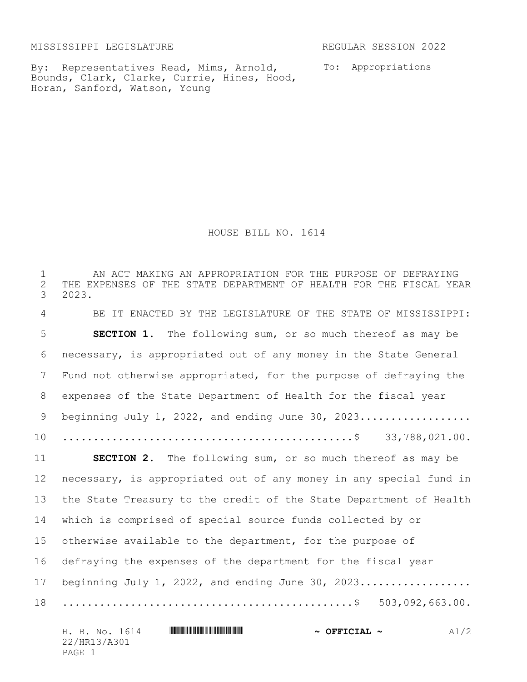MISSISSIPPI LEGISLATURE REGULAR SESSION 2022

By: Representatives Read, Mims, Arnold, Bounds, Clark, Clarke, Currie, Hines, Hood, Horan, Sanford, Watson, Young

To: Appropriations

HOUSE BILL NO. 1614

 AN ACT MAKING AN APPROPRIATION FOR THE PURPOSE OF DEFRAYING 2 THE EXPENSES OF THE STATE DEPARTMENT OF HEALTH FOR THE FISCAL YEAR<br>3 2023. 3 2023. BE IT ENACTED BY THE LEGISLATURE OF THE STATE OF MISSISSIPPI: **SECTION 1.** The following sum, or so much thereof as may be necessary, is appropriated out of any money in the State General Fund not otherwise appropriated, for the purpose of defraying the expenses of the State Department of Health for the fiscal year beginning July 1, 2022, and ending June 30, 2023.................. ...............................................\$ 33,788,021.00. **SECTION 2.** The following sum, or so much thereof as may be necessary, is appropriated out of any money in any special fund in the State Treasury to the credit of the State Department of Health which is comprised of special source funds collected by or otherwise available to the department, for the purpose of defraying the expenses of the department for the fiscal year 17 beginning July 1, 2022, and ending June 30, 2023.................. ...............................................\$ 503,092,663.00.

| H. B. No. 1614 | $\sim$ OFFICIAL $\sim$ | A1/2 |
|----------------|------------------------|------|
| 22/HR13/A301   |                        |      |
| PAGE 1         |                        |      |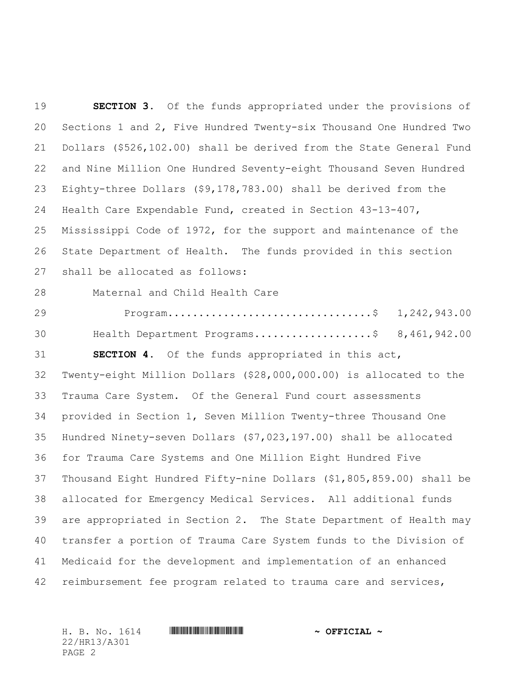**SECTION 3.** Of the funds appropriated under the provisions of Sections 1 and 2, Five Hundred Twenty-six Thousand One Hundred Two Dollars (\$526,102.00) shall be derived from the State General Fund and Nine Million One Hundred Seventy-eight Thousand Seven Hundred Eighty-three Dollars (\$9,178,783.00) shall be derived from the Health Care Expendable Fund, created in Section 43-13-407, Mississippi Code of 1972, for the support and maintenance of the State Department of Health. The funds provided in this section shall be allocated as follows: Maternal and Child Health Care Program.................................\$ 1,242,943.00 Health Department Programs...................\$ 8,461,942.00 **SECTION 4.** Of the funds appropriated in this act, Twenty-eight Million Dollars (\$28,000,000.00) is allocated to the Trauma Care System. Of the General Fund court assessments provided in Section 1, Seven Million Twenty-three Thousand One Hundred Ninety-seven Dollars (\$7,023,197.00) shall be allocated for Trauma Care Systems and One Million Eight Hundred Five Thousand Eight Hundred Fifty-nine Dollars (\$1,805,859.00) shall be allocated for Emergency Medical Services. All additional funds are appropriated in Section 2. The State Department of Health may transfer a portion of Trauma Care System funds to the Division of Medicaid for the development and implementation of an enhanced reimbursement fee program related to trauma care and services,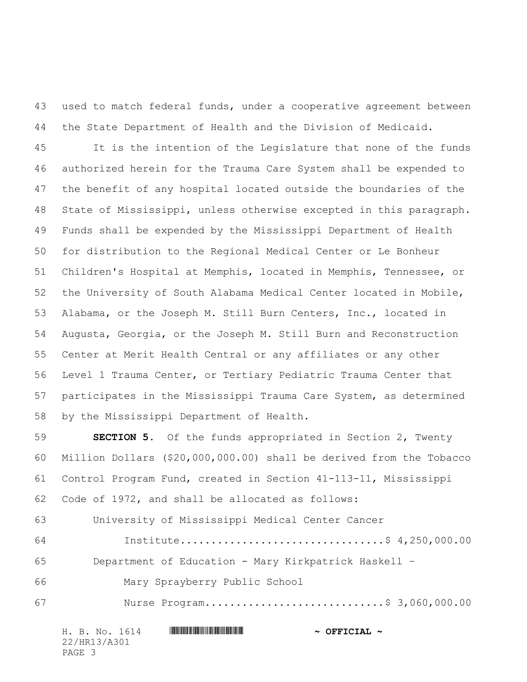used to match federal funds, under a cooperative agreement between the State Department of Health and the Division of Medicaid.

 It is the intention of the Legislature that none of the funds authorized herein for the Trauma Care System shall be expended to the benefit of any hospital located outside the boundaries of the State of Mississippi, unless otherwise excepted in this paragraph. Funds shall be expended by the Mississippi Department of Health for distribution to the Regional Medical Center or Le Bonheur Children's Hospital at Memphis, located in Memphis, Tennessee, or the University of South Alabama Medical Center located in Mobile, Alabama, or the Joseph M. Still Burn Centers, Inc., located in Augusta, Georgia, or the Joseph M. Still Burn and Reconstruction Center at Merit Health Central or any affiliates or any other Level 1 Trauma Center, or Tertiary Pediatric Trauma Center that participates in the Mississippi Trauma Care System, as determined by the Mississippi Department of Health.

 **SECTION 5.** Of the funds appropriated in Section 2, Twenty Million Dollars (\$20,000,000.00) shall be derived from the Tobacco Control Program Fund, created in Section 41-113-11, Mississippi Code of 1972, and shall be allocated as follows:

 University of Mississippi Medical Center Cancer Institute.................................\$ 4,250,000.00 Department of Education - Mary Kirkpatrick Haskell – Mary Sprayberry Public School Nurse Program.............................\$ 3,060,000.00

| H. B. No. 1614 | $\sim$ OFFICIAL $\sim$ |
|----------------|------------------------|
| 22/HR13/A301   |                        |
| PAGE 3         |                        |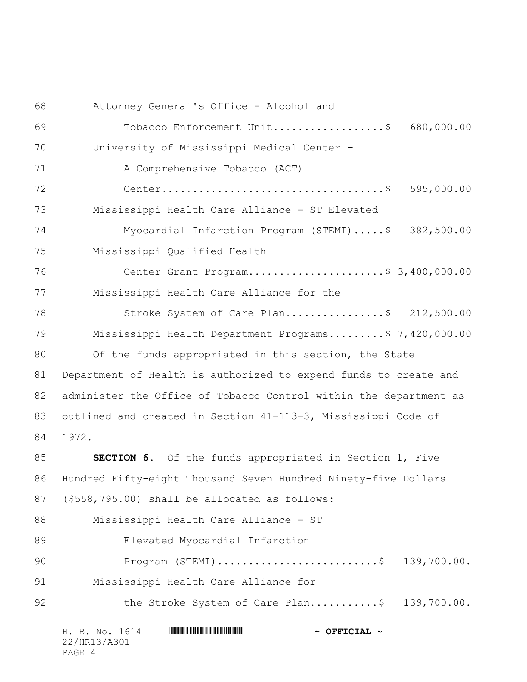Attorney General's Office - Alcohol and Tobacco Enforcement Unit..................\$ 680,000.00 University of Mississippi Medical Center – A Comprehensive Tobacco (ACT) Center....................................\$ 595,000.00 Mississippi Health Care Alliance - ST Elevated Myocardial Infarction Program (STEMI).....\$ 382,500.00 Mississippi Qualified Health Center Grant Program......................\$ 3,400,000.00 Mississippi Health Care Alliance for the 78 Stroke System of Care Plan....................\$ 212,500.00 Mississippi Health Department Programs.........\$ 7,420,000.00 80 Of the funds appropriated in this section, the State Department of Health is authorized to expend funds to create and administer the Office of Tobacco Control within the department as outlined and created in Section 41-113-3, Mississippi Code of 1972. **SECTION 6.** Of the funds appropriated in Section 1, Five Hundred Fifty-eight Thousand Seven Hundred Ninety-five Dollars (\$558,795.00) shall be allocated as follows: Mississippi Health Care Alliance - ST Elevated Myocardial Infarction Program (STEMI)..........................\$ 139,700.00. Mississippi Health Care Alliance for 92 the Stroke System of Care Plan.............\$ 139,700.00.

| H. B. No. 1614 | $\sim$ OFFICIAL $\sim$ |
|----------------|------------------------|
| 22/HR13/A301   |                        |
| PAGE 4         |                        |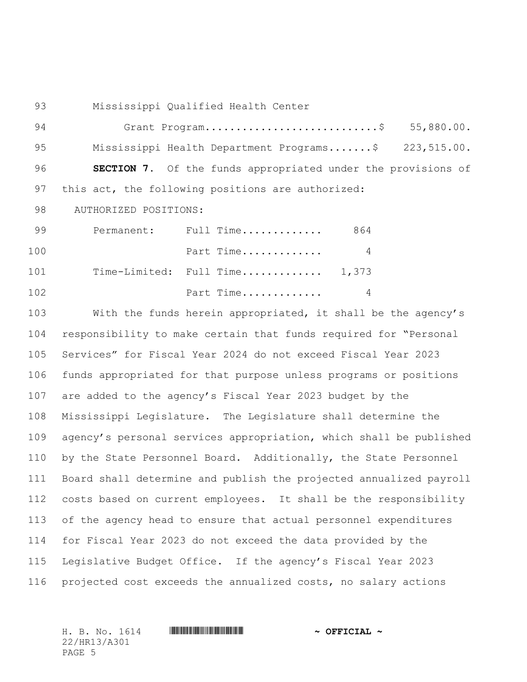Mississippi Qualified Health Center

94 Grant Program.................................\$ 55,880.00. Mississippi Health Department Programs.......\$ 223,515.00. **SECTION 7.** Of the funds appropriated under the provisions of this act, the following positions are authorized: 98 AUTHORIZED POSITIONS:

99 Permanent: Full Time.............. 864 Part Time............. 4 101 Time-Limited: Full Time.............. 1,373 Part Time............. 4

 With the funds herein appropriated, it shall be the agency's responsibility to make certain that funds required for "Personal Services" for Fiscal Year 2024 do not exceed Fiscal Year 2023 funds appropriated for that purpose unless programs or positions are added to the agency's Fiscal Year 2023 budget by the Mississippi Legislature. The Legislature shall determine the agency's personal services appropriation, which shall be published by the State Personnel Board. Additionally, the State Personnel Board shall determine and publish the projected annualized payroll costs based on current employees. It shall be the responsibility of the agency head to ensure that actual personnel expenditures for Fiscal Year 2023 do not exceed the data provided by the Legislative Budget Office. If the agency's Fiscal Year 2023 projected cost exceeds the annualized costs, no salary actions

22/HR13/A301 PAGE 5

H. B. No. 1614 \*HR13/A301\* **~ OFFICIAL ~**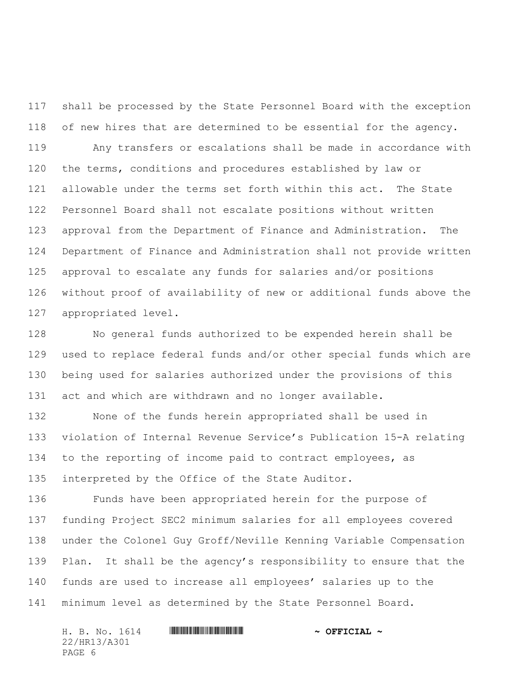shall be processed by the State Personnel Board with the exception of new hires that are determined to be essential for the agency.

 Any transfers or escalations shall be made in accordance with the terms, conditions and procedures established by law or allowable under the terms set forth within this act. The State Personnel Board shall not escalate positions without written approval from the Department of Finance and Administration. The Department of Finance and Administration shall not provide written approval to escalate any funds for salaries and/or positions without proof of availability of new or additional funds above the appropriated level.

 No general funds authorized to be expended herein shall be used to replace federal funds and/or other special funds which are being used for salaries authorized under the provisions of this act and which are withdrawn and no longer available.

 None of the funds herein appropriated shall be used in violation of Internal Revenue Service's Publication 15-A relating 134 to the reporting of income paid to contract employees, as interpreted by the Office of the State Auditor.

 Funds have been appropriated herein for the purpose of funding Project SEC2 minimum salaries for all employees covered under the Colonel Guy Groff/Neville Kenning Variable Compensation Plan. It shall be the agency's responsibility to ensure that the funds are used to increase all employees' salaries up to the minimum level as determined by the State Personnel Board.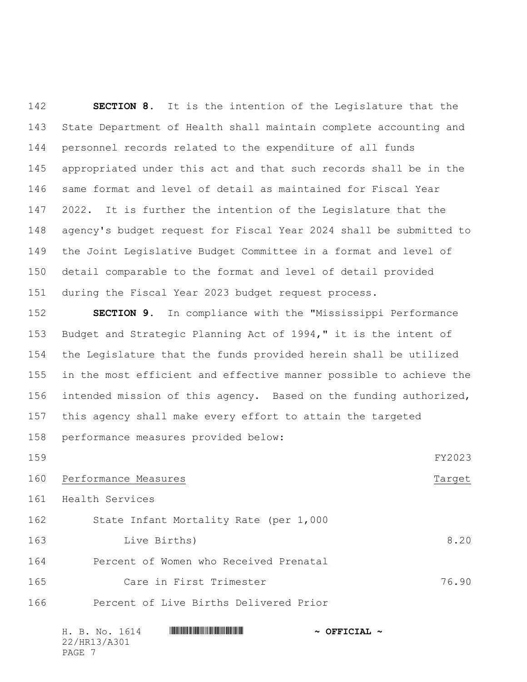**SECTION 8.** It is the intention of the Legislature that the State Department of Health shall maintain complete accounting and personnel records related to the expenditure of all funds appropriated under this act and that such records shall be in the same format and level of detail as maintained for Fiscal Year 2022. It is further the intention of the Legislature that the agency's budget request for Fiscal Year 2024 shall be submitted to the Joint Legislative Budget Committee in a format and level of detail comparable to the format and level of detail provided during the Fiscal Year 2023 budget request process.

 **SECTION 9.** In compliance with the "Mississippi Performance Budget and Strategic Planning Act of 1994," it is the intent of the Legislature that the funds provided herein shall be utilized in the most efficient and effective manner possible to achieve the intended mission of this agency. Based on the funding authorized, this agency shall make every effort to attain the targeted performance measures provided below:

 FY2023 160 Performance Measures Target Health Services State Infant Mortality Rate (per 1,000 Live Births) 8.20 Percent of Women who Received Prenatal

 Care in First Trimester 76.90 Percent of Live Births Delivered Prior

H. B. No. 1614 **. Assemblance and HR13** 1802 **\*** OFFICIAL \* 22/HR13/A301 PAGE 7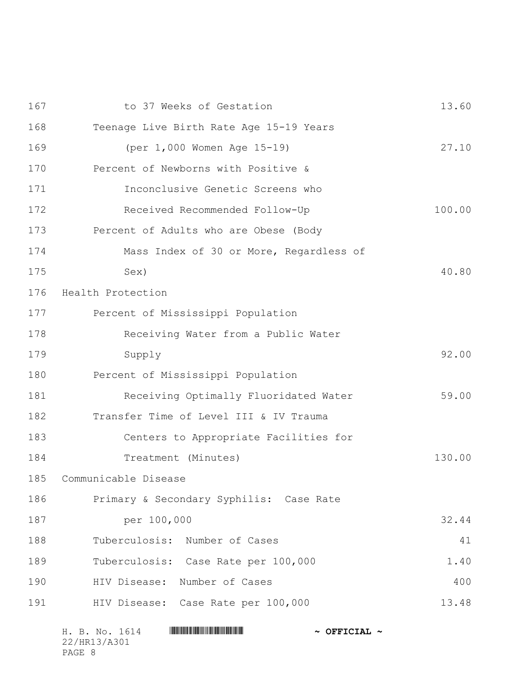| 167 | to 37 Weeks of Gestation                | 13.60  |
|-----|-----------------------------------------|--------|
| 168 | Teenage Live Birth Rate Age 15-19 Years |        |
| 169 | (per 1,000 Women Age 15-19)             | 27.10  |
| 170 | Percent of Newborns with Positive &     |        |
| 171 | Inconclusive Genetic Screens who        |        |
| 172 | Received Recommended Follow-Up          | 100.00 |
| 173 | Percent of Adults who are Obese (Body   |        |
| 174 | Mass Index of 30 or More, Regardless of |        |
| 175 | Sex)                                    | 40.80  |
| 176 | Health Protection                       |        |
| 177 | Percent of Mississippi Population       |        |
| 178 | Receiving Water from a Public Water     |        |
| 179 | Supply                                  | 92.00  |
| 180 | Percent of Mississippi Population       |        |
| 181 | Receiving Optimally Fluoridated Water   | 59.00  |
| 182 | Transfer Time of Level III & IV Trauma  |        |
| 183 | Centers to Appropriate Facilities for   |        |
| 184 | Treatment (Minutes)                     | 130.00 |
| 185 | Communicable Disease                    |        |
| 186 | Primary & Secondary Syphilis: Case Rate |        |
| 187 | per 100,000                             | 32.44  |
| 188 | Tuberculosis: Number of Cases           | 41     |
| 189 | Tuberculosis: Case Rate per 100,000     | 1.40   |
| 190 | HIV Disease:<br>Number of Cases         | 400    |
| 191 | HIV Disease: Case Rate per 100,000      | 13.48  |
|     |                                         |        |

| H. B. No. 1614 | $\sim$ OFFICIAL $\sim$ |
|----------------|------------------------|
| 22/HR13/A301   |                        |
| PAGE 8         |                        |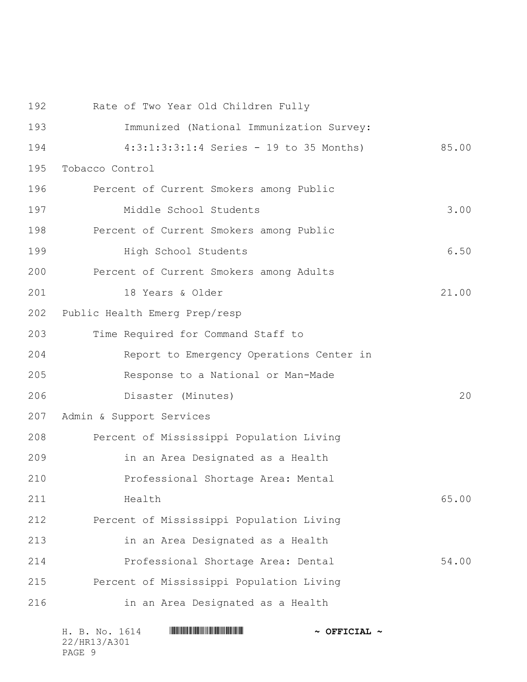Immunized (National Immunization Survey: 4:3:1:3:3:1:4 Series - 19 to 35 Months) 85.00 Tobacco Control Percent of Current Smokers among Public Middle School Students 3.00 Percent of Current Smokers among Public **High School Students** 6.50 Percent of Current Smokers among Adults 18 Years & Older 21.00 Public Health Emerg Prep/resp Time Required for Command Staff to Report to Emergency Operations Center in Response to a National or Man-Made Disaster (Minutes) 20 Admin & Support Services Percent of Mississippi Population Living in an Area Designated as a Health Professional Shortage Area: Mental **Health** 65.00 Percent of Mississippi Population Living in an Area Designated as a Health Professional Shortage Area: Dental 54.00 Percent of Mississippi Population Living in an Area Designated as a Health

Rate of Two Year Old Children Fully

|        |              | H. B. No. 1614 |  | $\sim$ OFFICIAL $\sim$ |
|--------|--------------|----------------|--|------------------------|
|        | 22/HR13/A301 |                |  |                        |
| PAGE 9 |              |                |  |                        |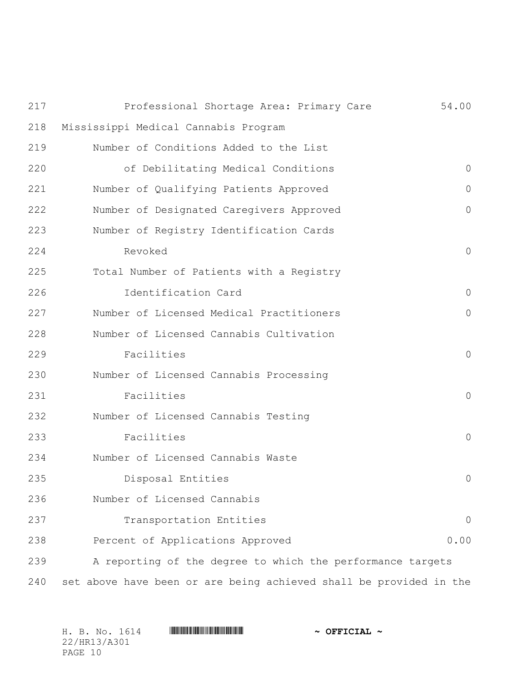| 217 | Professional Shortage Area: Primary Care                           | 54.00    |
|-----|--------------------------------------------------------------------|----------|
| 218 | Mississippi Medical Cannabis Program                               |          |
| 219 | Number of Conditions Added to the List                             |          |
| 220 | of Debilitating Medical Conditions                                 | $\circ$  |
| 221 | Number of Qualifying Patients Approved                             | $\Omega$ |
| 222 | Number of Designated Caregivers Approved                           | 0        |
| 223 | Number of Registry Identification Cards                            |          |
| 224 | Revoked                                                            | $\circ$  |
| 225 | Total Number of Patients with a Registry                           |          |
| 226 | Identification Card                                                | $\circ$  |
| 227 | Number of Licensed Medical Practitioners                           | 0        |
| 228 | Number of Licensed Cannabis Cultivation                            |          |
| 229 | Facilities                                                         | $\circ$  |
| 230 | Number of Licensed Cannabis Processing                             |          |
| 231 | Facilities                                                         | $\circ$  |
| 232 | Number of Licensed Cannabis Testing                                |          |
| 233 | Facilities                                                         | $\circ$  |
| 234 | Number of Licensed Cannabis Waste                                  |          |
| 235 | Disposal Entities                                                  | 0        |
| 236 | Number of Licensed Cannabis                                        |          |
| 237 | Transportation Entities                                            | $\theta$ |
| 238 | Percent of Applications Approved                                   | 0.00     |
| 239 | A reporting of the degree to which the performance targets         |          |
| 240 | set above have been or are being achieved shall be provided in the |          |

| H. B. No. 1614 | $\sim$ OFFICIAL $\sim$ |
|----------------|------------------------|
| 22/HR13/A301   |                        |
| PAGE 10        |                        |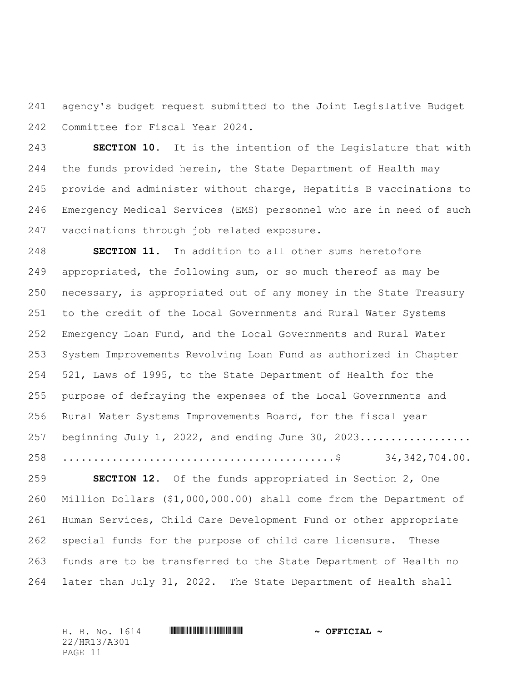agency's budget request submitted to the Joint Legislative Budget Committee for Fiscal Year 2024.

 **SECTION 10.** It is the intention of the Legislature that with the funds provided herein, the State Department of Health may provide and administer without charge, Hepatitis B vaccinations to Emergency Medical Services (EMS) personnel who are in need of such vaccinations through job related exposure.

 **SECTION 11.** In addition to all other sums heretofore appropriated, the following sum, or so much thereof as may be necessary, is appropriated out of any money in the State Treasury to the credit of the Local Governments and Rural Water Systems Emergency Loan Fund, and the Local Governments and Rural Water System Improvements Revolving Loan Fund as authorized in Chapter 521, Laws of 1995, to the State Department of Health for the purpose of defraying the expenses of the Local Governments and Rural Water Systems Improvements Board, for the fiscal year 257 beginning July 1, 2022, and ending June 30, 2023.................... ............................................\$ 34,342,704.00.

 **SECTION 12.** Of the funds appropriated in Section 2, One Million Dollars (\$1,000,000.00) shall come from the Department of Human Services, Child Care Development Fund or other appropriate special funds for the purpose of child care licensure. These funds are to be transferred to the State Department of Health no later than July 31, 2022. The State Department of Health shall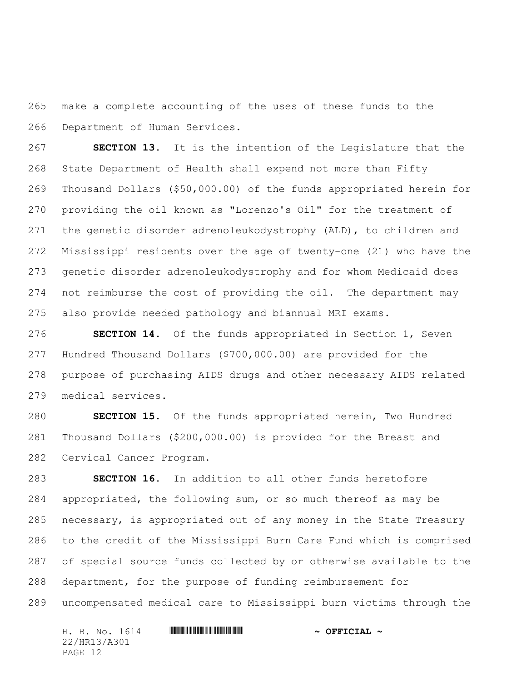make a complete accounting of the uses of these funds to the Department of Human Services.

 **SECTION 13.** It is the intention of the Legislature that the State Department of Health shall expend not more than Fifty Thousand Dollars (\$50,000.00) of the funds appropriated herein for providing the oil known as "Lorenzo's Oil" for the treatment of the genetic disorder adrenoleukodystrophy (ALD), to children and Mississippi residents over the age of twenty-one (21) who have the genetic disorder adrenoleukodystrophy and for whom Medicaid does not reimburse the cost of providing the oil. The department may also provide needed pathology and biannual MRI exams.

 **SECTION 14.** Of the funds appropriated in Section 1, Seven Hundred Thousand Dollars (\$700,000.00) are provided for the purpose of purchasing AIDS drugs and other necessary AIDS related medical services.

 **SECTION 15.** Of the funds appropriated herein, Two Hundred Thousand Dollars (\$200,000.00) is provided for the Breast and Cervical Cancer Program.

 **SECTION 16.** In addition to all other funds heretofore appropriated, the following sum, or so much thereof as may be necessary, is appropriated out of any money in the State Treasury to the credit of the Mississippi Burn Care Fund which is comprised of special source funds collected by or otherwise available to the department, for the purpose of funding reimbursement for uncompensated medical care to Mississippi burn victims through the

H. B. No. 1614 **. Assemblance and HR13** 1802 **\*** OFFICIAL \* 22/HR13/A301 PAGE 12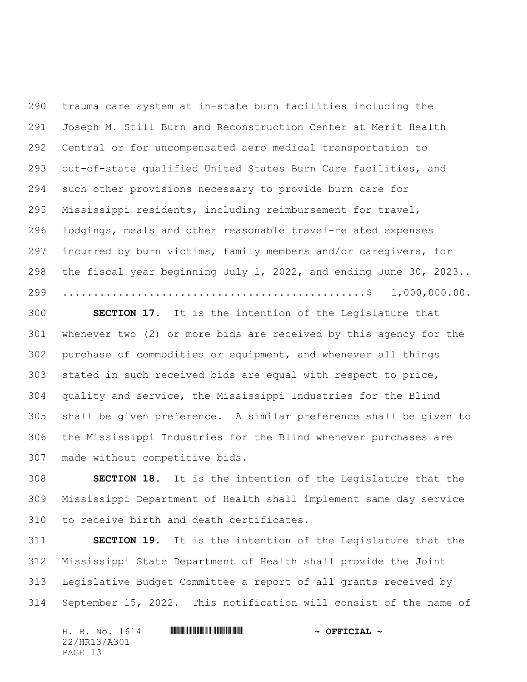trauma care system at in-state burn facilities including the Joseph M. Still Burn and Reconstruction Center at Merit Health Central or for uncompensated aero medical transportation to out-of-state qualified United States Burn Care facilities, and such other provisions necessary to provide burn care for Mississippi residents, including reimbursement for travel, lodgings, meals and other reasonable travel-related expenses incurred by burn victims, family members and/or caregivers, for the fiscal year beginning July 1, 2022, and ending June 30, 2023.. .................................................\$ 1,000,000.00.

 **SECTION 17.** It is the intention of the Legislature that whenever two (2) or more bids are received by this agency for the purchase of commodities or equipment, and whenever all things stated in such received bids are equal with respect to price, quality and service, the Mississippi Industries for the Blind shall be given preference. A similar preference shall be given to the Mississippi Industries for the Blind whenever purchases are made without competitive bids.

 **SECTION 18.** It is the intention of the Legislature that the Mississippi Department of Health shall implement same day service to receive birth and death certificates.

 **SECTION 19.** It is the intention of the Legislature that the Mississippi State Department of Health shall provide the Joint Legislative Budget Committee a report of all grants received by September 15, 2022. This notification will consist of the name of

| H. B. No. 1614 | $\sim$ OFFICIAL $\sim$ |
|----------------|------------------------|
| 22/HR13/A301   |                        |
| PAGE 13        |                        |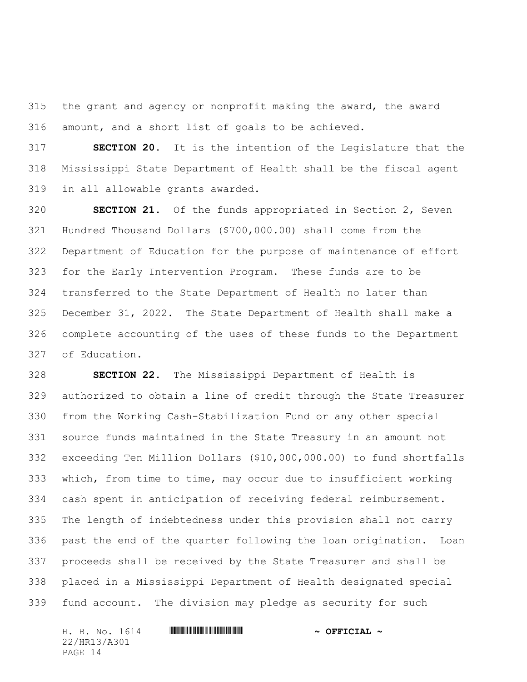the grant and agency or nonprofit making the award, the award amount, and a short list of goals to be achieved.

 **SECTION 20.** It is the intention of the Legislature that the Mississippi State Department of Health shall be the fiscal agent in all allowable grants awarded.

 **SECTION 21.** Of the funds appropriated in Section 2, Seven Hundred Thousand Dollars (\$700,000.00) shall come from the Department of Education for the purpose of maintenance of effort for the Early Intervention Program. These funds are to be transferred to the State Department of Health no later than December 31, 2022. The State Department of Health shall make a complete accounting of the uses of these funds to the Department of Education.

 **SECTION 22.** The Mississippi Department of Health is authorized to obtain a line of credit through the State Treasurer from the Working Cash-Stabilization Fund or any other special source funds maintained in the State Treasury in an amount not exceeding Ten Million Dollars (\$10,000,000.00) to fund shortfalls which, from time to time, may occur due to insufficient working cash spent in anticipation of receiving federal reimbursement. The length of indebtedness under this provision shall not carry past the end of the quarter following the loan origination. Loan proceeds shall be received by the State Treasurer and shall be placed in a Mississippi Department of Health designated special fund account. The division may pledge as security for such

H. B. No. 1614 **. Assemblance and HR13** 1802 **\*** OFFICIAL \* 22/HR13/A301 PAGE 14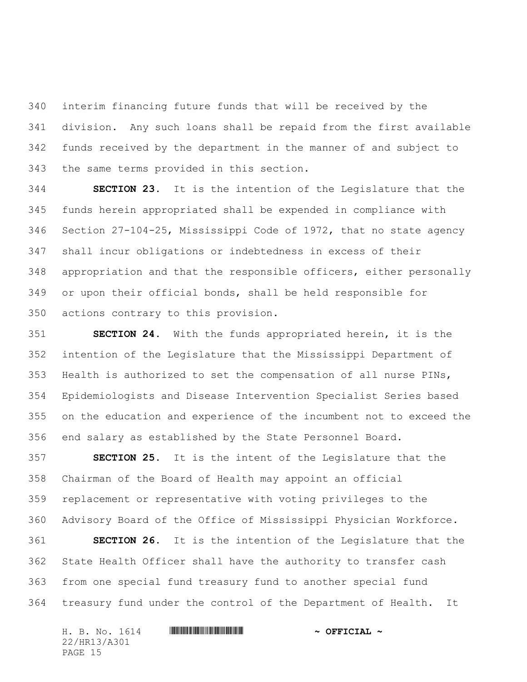interim financing future funds that will be received by the division. Any such loans shall be repaid from the first available funds received by the department in the manner of and subject to the same terms provided in this section.

 **SECTION 23.** It is the intention of the Legislature that the funds herein appropriated shall be expended in compliance with Section 27-104-25, Mississippi Code of 1972, that no state agency shall incur obligations or indebtedness in excess of their appropriation and that the responsible officers, either personally or upon their official bonds, shall be held responsible for actions contrary to this provision.

 **SECTION 24.** With the funds appropriated herein, it is the intention of the Legislature that the Mississippi Department of Health is authorized to set the compensation of all nurse PINs, Epidemiologists and Disease Intervention Specialist Series based on the education and experience of the incumbent not to exceed the end salary as established by the State Personnel Board.

 **SECTION 25.** It is the intent of the Legislature that the Chairman of the Board of Health may appoint an official replacement or representative with voting privileges to the Advisory Board of the Office of Mississippi Physician Workforce.

 **SECTION 26.** It is the intention of the Legislature that the State Health Officer shall have the authority to transfer cash from one special fund treasury fund to another special fund treasury fund under the control of the Department of Health. It

| H. B. No. 1614 |  |  | $\sim$ OFFICIAL $\sim$ |
|----------------|--|--|------------------------|
| 22/HR13/A301   |  |  |                        |
| PAGE 15        |  |  |                        |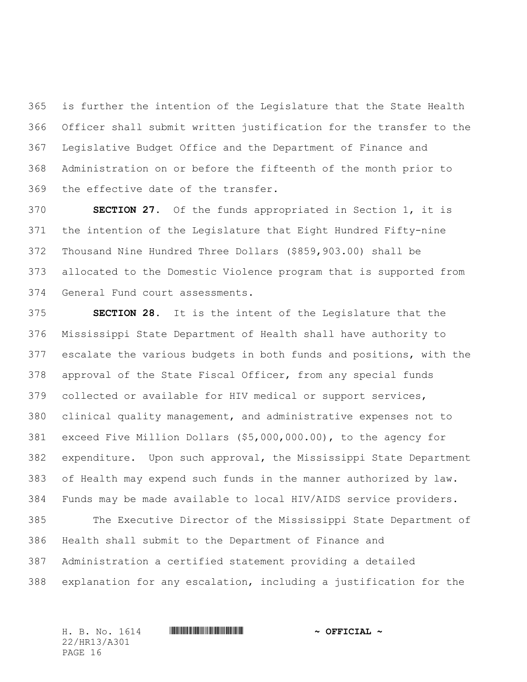is further the intention of the Legislature that the State Health Officer shall submit written justification for the transfer to the Legislative Budget Office and the Department of Finance and Administration on or before the fifteenth of the month prior to the effective date of the transfer.

 **SECTION 27.** Of the funds appropriated in Section 1, it is the intention of the Legislature that Eight Hundred Fifty-nine Thousand Nine Hundred Three Dollars (\$859,903.00) shall be allocated to the Domestic Violence program that is supported from General Fund court assessments.

 **SECTION 28.** It is the intent of the Legislature that the Mississippi State Department of Health shall have authority to escalate the various budgets in both funds and positions, with the approval of the State Fiscal Officer, from any special funds collected or available for HIV medical or support services, clinical quality management, and administrative expenses not to exceed Five Million Dollars (\$5,000,000.00), to the agency for expenditure. Upon such approval, the Mississippi State Department of Health may expend such funds in the manner authorized by law. Funds may be made available to local HIV/AIDS service providers.

 The Executive Director of the Mississippi State Department of Health shall submit to the Department of Finance and Administration a certified statement providing a detailed explanation for any escalation, including a justification for the